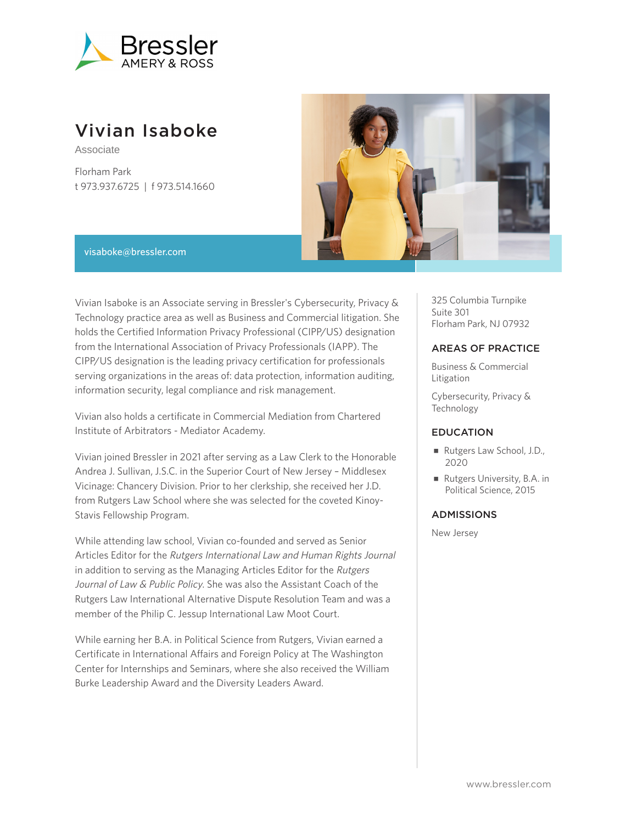

# Vivian Isaboke

Associate

Florham Park t 973.937.6725 | f 973.514.1660



#### visaboke@bressler.com

Vivian Isaboke is an Associate serving in Bressler's Cybersecurity, Privacy & Technology practice area as well as Business and Commercial litigation. She holds the Certified Information Privacy Professional (CIPP/US) designation from the International Association of Privacy Professionals (IAPP). The CIPP/US designation is the leading privacy certification for professionals serving organizations in the areas of: data protection, information auditing, information security, legal compliance and risk management.

Vivian also holds a certificate in Commercial Mediation from Chartered Institute of Arbitrators - Mediator Academy.

Vivian joined Bressler in 2021 after serving as a Law Clerk to the Honorable Andrea J. Sullivan, J.S.C. in the Superior Court of New Jersey – Middlesex Vicinage: Chancery Division. Prior to her clerkship, she received her J.D. from Rutgers Law School where she was selected for the coveted Kinoy-Stavis Fellowship Program.

While attending law school, Vivian co-founded and served as Senior Articles Editor for the Rutgers International Law and Human Rights Journal in addition to serving as the Managing Articles Editor for the Rutgers Journal of Law & Public Policy. She was also the Assistant Coach of the Rutgers Law International Alternative Dispute Resolution Team and was a member of the Philip C. Jessup International Law Moot Court.

While earning her B.A. in Political Science from Rutgers, Vivian earned a Certificate in International Affairs and Foreign Policy at The Washington Center for Internships and Seminars, where she also received the William Burke Leadership Award and the Diversity Leaders Award.

325 Columbia Turnpike Suite 301 Florham Park, NJ 07932

### AREAS OF PRACTICE

Business & Commercial Litigation

Cybersecurity, Privacy & Technology

#### EDUCATION

- Rutgers Law School, J.D., 2020
- Rutgers University, B.A. in Political Science, 2015

## ADMISSIONS

New Jersey